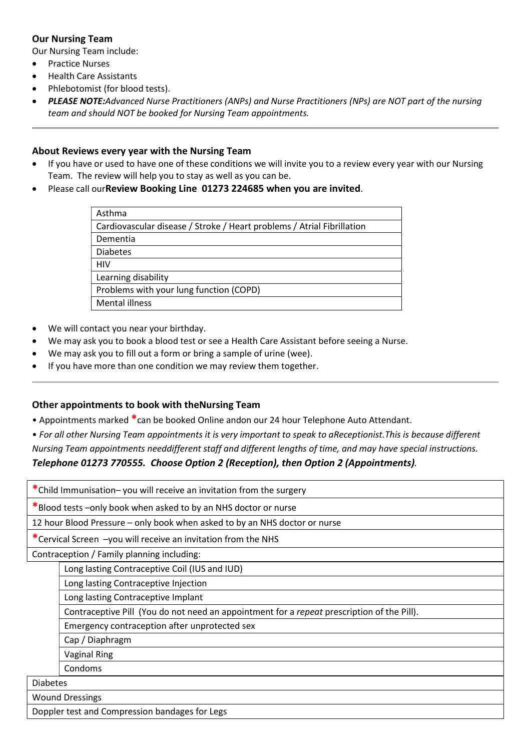## Our Nursing Team

Our Nursing Team include:

- Practice Nurses
- Health Care Assistants
- Phlebotomist (for blood tests).
- PLEASE NOTE:Advanced Nurse Practitioners (ANPs) and Nurse Practitioners (NPs) are NOT part of the nursing team and should NOT be booked for Nursing Team appointments.

## About Reviews every year with the Nursing Team

- If you have or used to have one of these conditions we will invite you to a review every year with our Nursing Team. The review will help you to stay as well as you can be.
- Please call ourReview Booking Line 01273 224685 when you are invited.

| Asthma                                                                 |
|------------------------------------------------------------------------|
| Cardiovascular disease / Stroke / Heart problems / Atrial Fibrillation |
| Dementia                                                               |
| <b>Diabetes</b>                                                        |
| HIV                                                                    |
| Learning disability                                                    |
| Problems with your lung function (COPD)                                |
| <b>Mental illness</b>                                                  |

- We will contact you near your birthday.
- We may ask you to book a blood test or see a Health Care Assistant before seeing a Nurse.
- We may ask you to fill out a form or bring a sample of urine (wee).
- If you have more than one condition we may review them together.

## Other appointments to book with theNursing Team

- Appointments marked \*can be booked Online andon our 24 hour Telephone Auto Attendant.
- For all other Nursing Team appointments it is very important to speak to aReceptionist.This is because different Nursing Team appointments needdifferent staff and different lengths of time, and may have special instructions.

## Telephone 01273 770555. Choose Option 2 (Reception), then Option 2 (Appointments).

\*Child Immunisation– you will receive an invitation from the surgery \*Blood tests –only book when asked to by an NHS doctor or nurse 12 hour Blood Pressure – only book when asked to by an NHS doctor or nurse \*Cervical Screen –you will receive an invitation from the NHS Contraception / Family planning including: Long lasting Contraceptive Coil (IUS and IUD) Long lasting Contraceptive Injection Long lasting Contraceptive Implant Contraceptive Pill (You do not need an appointment for a repeat prescription of the Pill). Emergency contraception after unprotected sex Cap / Diaphragm Vaginal Ring Condoms Diabetes Wound Dressings Doppler test and Compression bandages for Legs